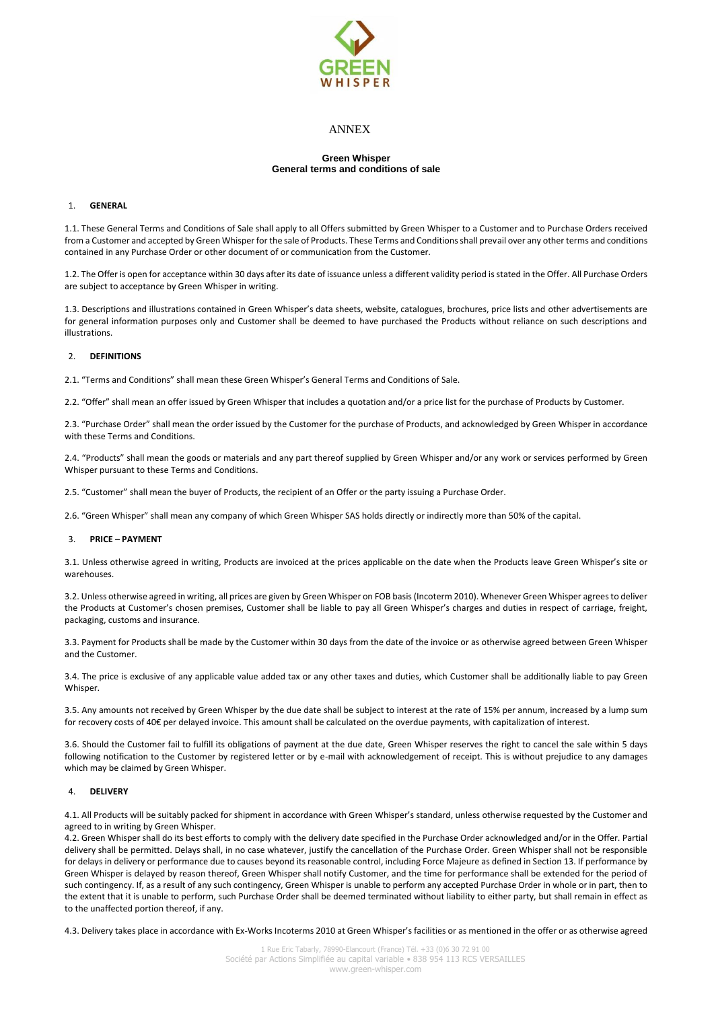

# ANNEX

## **Green Whisper General terms and conditions of sale**

# 1. **GENERAL**

1.1. These General Terms and Conditions of Sale shall apply to all Offers submitted by Green Whisper to a Customer and to Purchase Orders received from a Customer and accepted by Green Whisper for the sale of Products. These Terms and Conditions shall prevail over any other terms and conditions contained in any Purchase Order or other document of or communication from the Customer.

1.2. The Offer is open for acceptance within 30 days after its date of issuance unless a different validity period is stated in the Offer. All Purchase Orders are subject to acceptance by Green Whisper in writing.

1.3. Descriptions and illustrations contained in Green Whisper's data sheets, website, catalogues, brochures, price lists and other advertisements are for general information purposes only and Customer shall be deemed to have purchased the Products without reliance on such descriptions and illustrations.

## 2. **DEFINITIONS**

2.1. "Terms and Conditions" shall mean these Green Whisper's General Terms and Conditions of Sale.

2.2. "Offer" shall mean an offer issued by Green Whisper that includes a quotation and/or a price list for the purchase of Products by Customer.

2.3. "Purchase Order" shall mean the order issued by the Customer for the purchase of Products, and acknowledged by Green Whisper in accordance with these Terms and Conditions.

2.4. "Products" shall mean the goods or materials and any part thereof supplied by Green Whisper and/or any work or services performed by Green Whisper pursuant to these Terms and Conditions.

2.5. "Customer" shall mean the buyer of Products, the recipient of an Offer or the party issuing a Purchase Order.

2.6. "Green Whisper" shall mean any company of which Green Whisper SAS holds directly or indirectly more than 50% of the capital.

# 3. **PRICE – PAYMENT**

3.1. Unless otherwise agreed in writing, Products are invoiced at the prices applicable on the date when the Products leave Green Whisper's site or warehouses.

3.2. Unless otherwise agreed in writing, all prices are given by Green Whisper on FOB basis (Incoterm 2010). Whenever Green Whisper agrees to deliver the Products at Customer's chosen premises, Customer shall be liable to pay all Green Whisper's charges and duties in respect of carriage, freight, packaging, customs and insurance.

3.3. Payment for Products shall be made by the Customer within 30 days from the date of the invoice or as otherwise agreed between Green Whisper and the Customer.

3.4. The price is exclusive of any applicable value added tax or any other taxes and duties, which Customer shall be additionally liable to pay Green Whisper.

3.5. Any amounts not received by Green Whisper by the due date shall be subject to interest at the rate of 15% per annum, increased by a lump sum for recovery costs of 40€ per delayed invoice. This amount shall be calculated on the overdue payments, with capitalization of interest.

3.6. Should the Customer fail to fulfill its obligations of payment at the due date, Green Whisper reserves the right to cancel the sale within 5 days following notification to the Customer by registered letter or by e-mail with acknowledgement of receipt. This is without prejudice to any damages which may be claimed by Green Whisper.

# 4. **DELIVERY**

4.1. All Products will be suitably packed for shipment in accordance with Green Whisper's standard, unless otherwise requested by the Customer and agreed to in writing by Green Whisper.

4.2. Green Whisper shall do its best efforts to comply with the delivery date specified in the Purchase Order acknowledged and/or in the Offer. Partial delivery shall be permitted. Delays shall, in no case whatever, justify the cancellation of the Purchase Order. Green Whisper shall not be responsible for delays in delivery or performance due to causes beyond its reasonable control, including Force Majeure as defined in Section 13. If performance by Green Whisper is delayed by reason thereof, Green Whisper shall notify Customer, and the time for performance shall be extended for the period of such contingency. If, as a result of any such contingency, Green Whisper is unable to perform any accepted Purchase Order in whole or in part, then to the extent that it is unable to perform, such Purchase Order shall be deemed terminated without liability to either party, but shall remain in effect as to the unaffected portion thereof, if any.

4.3. Delivery takes place in accordance with Ex-Works Incoterms 2010 at Green Whisper's facilities or as mentioned in the offer or as otherwise agreed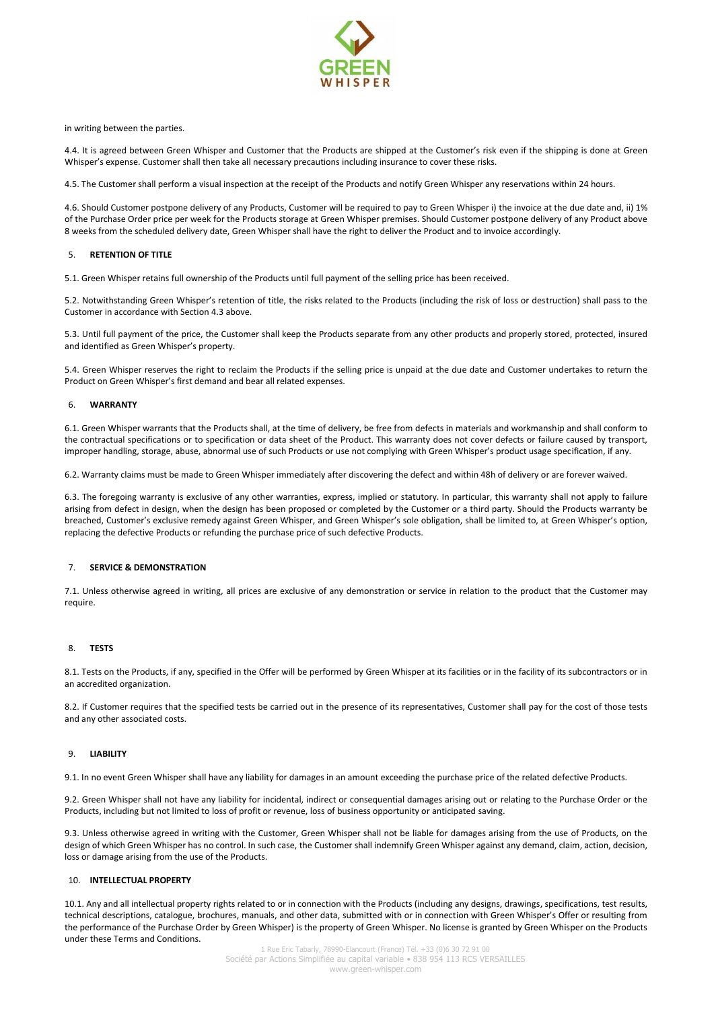

in writing between the parties.

4.4. It is agreed between Green Whisper and Customer that the Products are shipped at the Customer's risk even if the shipping is done at Green Whisper's expense. Customer shall then take all necessary precautions including insurance to cover these risks.

4.5. The Customer shall perform a visual inspection at the receipt of the Products and notify Green Whisper any reservations within 24 hours.

4.6. Should Customer postpone delivery of any Products, Customer will be required to pay to Green Whisper i) the invoice at the due date and, ii) 1% of the Purchase Order price per week for the Products storage at Green Whisper premises. Should Customer postpone delivery of any Product above 8 weeks from the scheduled delivery date, Green Whisper shall have the right to deliver the Product and to invoice accordingly.

#### 5. **RETENTION OF TITLE**

5.1. Green Whisper retains full ownership of the Products until full payment of the selling price has been received.

5.2. Notwithstanding Green Whisper's retention of title, the risks related to the Products (including the risk of loss or destruction) shall pass to the Customer in accordance with Section 4.3 above.

5.3. Until full payment of the price, the Customer shall keep the Products separate from any other products and properly stored, protected, insured and identified as Green Whisper's property.

5.4. Green Whisper reserves the right to reclaim the Products if the selling price is unpaid at the due date and Customer undertakes to return the Product on Green Whisper's first demand and bear all related expenses.

#### 6. **WARRANTY**

6.1. Green Whisper warrants that the Products shall, at the time of delivery, be free from defects in materials and workmanship and shall conform to the contractual specifications or to specification or data sheet of the Product. This warranty does not cover defects or failure caused by transport, improper handling, storage, abuse, abnormal use of such Products or use not complying with Green Whisper's product usage specification, if any.

6.2. Warranty claims must be made to Green Whisper immediately after discovering the defect and within 48h of delivery or are forever waived.

6.3. The foregoing warranty is exclusive of any other warranties, express, implied or statutory. In particular, this warranty shall not apply to failure arising from defect in design, when the design has been proposed or completed by the Customer or a third party. Should the Products warranty be breached, Customer's exclusive remedy against Green Whisper, and Green Whisper's sole obligation, shall be limited to, at Green Whisper's option, replacing the defective Products or refunding the purchase price of such defective Products.

#### 7. **SERVICE & DEMONSTRATION**

7.1. Unless otherwise agreed in writing, all prices are exclusive of any demonstration or service in relation to the product that the Customer may require.

## 8. **TESTS**

8.1. Tests on the Products, if any, specified in the Offer will be performed by Green Whisper at its facilities or in the facility of its subcontractors or in an accredited organization.

8.2. If Customer requires that the specified tests be carried out in the presence of its representatives, Customer shall pay for the cost of those tests and any other associated costs.

## 9. **LIABILITY**

9.1. In no event Green Whisper shall have any liability for damages in an amount exceeding the purchase price of the related defective Products.

9.2. Green Whisper shall not have any liability for incidental, indirect or consequential damages arising out or relating to the Purchase Order or the Products, including but not limited to loss of profit or revenue, loss of business opportunity or anticipated saving.

9.3. Unless otherwise agreed in writing with the Customer, Green Whisper shall not be liable for damages arising from the use of Products, on the design of which Green Whisper has no control. In such case, the Customer shall indemnify Green Whisper against any demand, claim, action, decision, loss or damage arising from the use of the Products.

#### 10. **INTELLECTUAL PROPERTY**

10.1. Any and all intellectual property rights related to or in connection with the Products (including any designs, drawings, specifications, test results, technical descriptions, catalogue, brochures, manuals, and other data, submitted with or in connection with Green Whisper's Offer or resulting from the performance of the Purchase Order by Green Whisper) is the property of Green Whisper. No license is granted by Green Whisper on the Products under these Terms and Conditions.